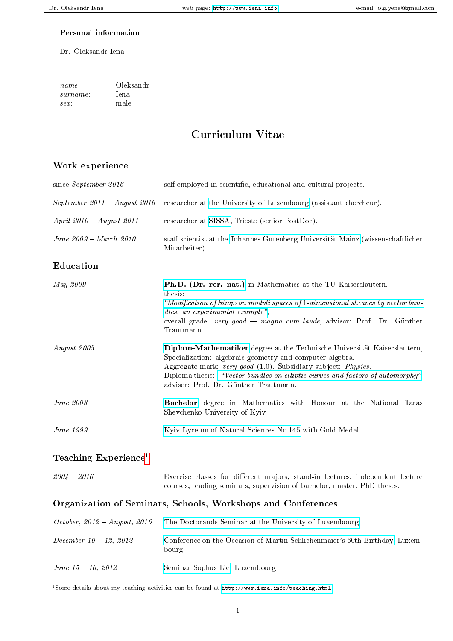### Personal information

#### Dr. Oleksandr Iena

| name:    | Oleksandr |  |  |  |
|----------|-----------|--|--|--|
| surname: | lena.     |  |  |  |
| $sex$ :  | male      |  |  |  |

# Curriculum Vitae

## Work experience

| since September 2016          | self-employed in scientific, educational and cultural projects.                                                                                                                                                                                                                                                                  |  |  |  |  |
|-------------------------------|----------------------------------------------------------------------------------------------------------------------------------------------------------------------------------------------------------------------------------------------------------------------------------------------------------------------------------|--|--|--|--|
| September 2011 - August 2016  | researcher at the University of Luxembourg (assistant chercheur).                                                                                                                                                                                                                                                                |  |  |  |  |
| $April 2010 - August 2011$    | researcher at SISSA, Trieste (senior PostDoc).                                                                                                                                                                                                                                                                                   |  |  |  |  |
| <i>June 2009 - March 2010</i> | staff scientist at the Johannes Gutenberg-Universität Mainz (wissenschaftlicher<br>Mitarbeiter).                                                                                                                                                                                                                                 |  |  |  |  |
| Education                     |                                                                                                                                                                                                                                                                                                                                  |  |  |  |  |
| May 2009                      | Ph.D. (Dr. rer. nat.) in Mathematics at the TU Kaiserslautern.<br>thesis:<br>"Modification of Simpson moduli spaces of 1-dimensional sheaves by vector bun-<br>dles, an experimental example",<br>overall grade: very good - magna cum laude, advisor: Prof. Dr. Günther<br>Trautmann.                                           |  |  |  |  |
| August 2005                   | Diplom-Mathematiker degree at the Technische Universität Kaiserslautern,<br>Specialization: algebraic geometry and computer algebra.<br>Aggregate mark: very good (1.0). Subsidiary subject: Physics.<br>Diploma thesis: "Vector bundles on elliptic curves and factors of automorphy",<br>advisor: Prof. Dr. Günther Trautmann. |  |  |  |  |
| <i>June 2003</i>              | <b>Bachelor</b> degree in Mathematics with Honour at the National Taras<br>Shevchenko University of Kyiv                                                                                                                                                                                                                         |  |  |  |  |
| June 1999                     | Kyiv Lyceum of Natural Sciences No.145 with Gold Medal                                                                                                                                                                                                                                                                           |  |  |  |  |
| Teaching ${\rm Experience}^1$ |                                                                                                                                                                                                                                                                                                                                  |  |  |  |  |
| $2004 - 2016$                 | Exercise classes for different majors, stand-in lectures, independent lecture<br>courses, reading seminars, supervision of bachelor, master, PhD theses.                                                                                                                                                                         |  |  |  |  |

### Organization of Seminars, Schools, Workshops and Conferences

| $October, 2012 - August, 2016$ | The Doctorands Seminar at the University of Luxembourg                               |
|--------------------------------|--------------------------------------------------------------------------------------|
| December $10 - 12$ , 2012      | Conference on the Occasion of Martin Schlichenmaier's 60th Birthday, Luxem-<br>bourg |
| $June 15 - 16, 2012$           | Seminar Sophus Lie, Luxembourg                                                       |

<span id="page-0-0"></span>1Some details about my teaching activities can be found at [http://www.iena.info/teaching.html.](http://www.iena.info/teaching.html)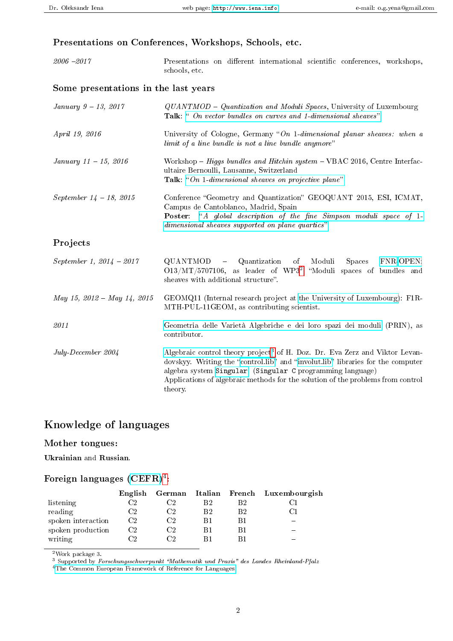## Presentations on Conferences, Workshops, Schools, etc.

| $2006 - 2017$ | Presentations on different international scientific conferences, workshops, |  |  |  |
|---------------|-----------------------------------------------------------------------------|--|--|--|
|               | schools, etc.                                                               |  |  |  |
|               |                                                                             |  |  |  |

## Some presentations in the last years

| <i>January</i> $9 - 13, 2017$   | QUANTMOD - Quantization and Moduli Spaces, University of Luxembourg<br><b>Talk:</b> " On vector bundles on curves and 1-dimensional sheaves".                                                                                                                                                                                          |  |  |  |
|---------------------------------|----------------------------------------------------------------------------------------------------------------------------------------------------------------------------------------------------------------------------------------------------------------------------------------------------------------------------------------|--|--|--|
| April 19, 2016                  | University of Cologne, Germany "On 1-dimensional planar sheaves: when a<br>limit of a line bundle is not a line bundle anymore"                                                                                                                                                                                                        |  |  |  |
| January $11 - 15$ , 2016        | Workshop – Higgs bundles and Hitchin system – VBAC 2016, Centre Interfac-<br>ultaire Bernoulli, Lausanne, Switzerland<br><b>Talk:</b> "On 1-dimensional sheaves on projective plane"                                                                                                                                                   |  |  |  |
| September $14 - 18$ , 2015      | Conference "Geometry and Quantization" GEOQUANT 2015, ESI, ICMAT,<br>Campus de Cantoblanco, Madrid, Spain<br><b>Poster:</b> "A global description of the fine Simpson moduli space of 1-<br>dimensional sheaves supported on plane quartics"                                                                                           |  |  |  |
| Projects                        |                                                                                                                                                                                                                                                                                                                                        |  |  |  |
| September 1, $2014 - 2017$      | QUANTMOD - Quantization of<br>Moduli<br>FNR-OPEN:<br><b>Spaces</b><br>$O13/MT/5707106$ , as leader of WP3 <sup>2</sup> "Moduli spaces of bundles and<br>sheaves with additional structure".                                                                                                                                            |  |  |  |
| $May\ 15,\ 2012-May\ 14,\ 2015$ | $GEMQ11$ (Internal research project at the University of Luxembourg): $F1R$ -<br>MTH-PUL-11GEOM, as contributing scientist.                                                                                                                                                                                                            |  |  |  |
| 2011                            | Geometria delle Varietà Algebriche e dei loro spazi dei moduli (PRIN), as<br>contributor.                                                                                                                                                                                                                                              |  |  |  |
| July-December 2004              | Algebraic control theory project <sup>3</sup> of H. Doz. Dr. Eva Zerz and Viktor Levan-<br>dovskyy. Writing the "control.lib" and "involut.lib" libraries for the computer<br>algebra system Singular. (Singular C programming language)<br>Applications of algebraic methods for the solution of the problems from control<br>theory. |  |  |  |

# Knowledge of languages

### Mother tongues:

Ukrainian and Russian.

### Foreign languages  $(\mathrm{CEFR})^4$  $(\mathrm{CEFR})^4$ :

|                    |    |    |    | English German Italian French Luxembourgish |
|--------------------|----|----|----|---------------------------------------------|
| listening          | Ω. | B2 | B2 |                                             |
| reading            | Ω. | B2 | B2 |                                             |
| spoken interaction | Ω2 |    |    |                                             |
| spoken production  | Ο2 |    |    |                                             |
| writing            | ിറ |    |    |                                             |

<span id="page-1-0"></span><sup>2</sup>Work package 3.

<span id="page-1-1"></span><sup>3</sup> Supported by Forschungsschwerpunkt "Mathematik und Praxis" des Landes Rheinland-Pfalz

<span id="page-1-2"></span><sup>4</sup>[The Common European Framework of Reference for Languages](https://europass.cedefop.europa.eu/en/resources/european-language-levels-cefr/cef-ell-document.pdf)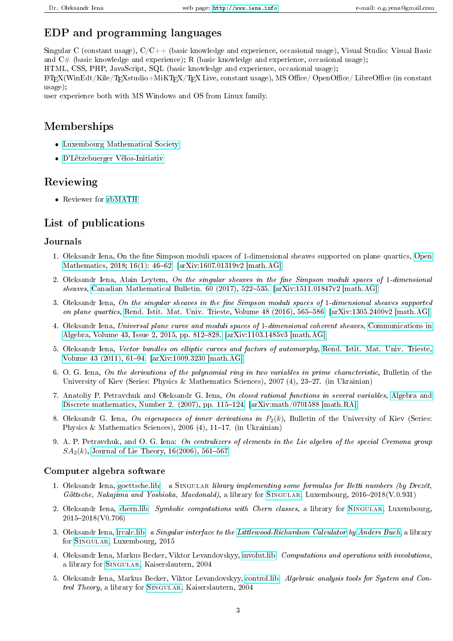# EDP and programming languages

Singular C (constant usage),  $C/C++$  (basic knowledge and experience, occasional usage), Visual Studio: Visual Basic and  $C#$  (basic knowledge and experience); R (basic knowledge and experience, occasional usage);

HTML, CSS, PHP, JavaScript, SQL (basic knowledge and experience, occasional usage);

LATEX(WinEdt/Kile/TEXstudio+MiKTEX/TEX Live, constant usage), MS Office/ OpenOffice/ LibreOffice (in constant usage);

user experience both with MS Windows and OS from Linux family.

## Memberships

- [Luxembourg Mathematical Society](http://math.uni.lu/sml/)
- [D'Lëtzebuerger Vëlos-Initiativ](http://www.lvi.lu/)

## Reviewing

Reviewer for [zbMATH](https://zbmath.org/)

## List of publications

### Journals

- 1. Oleksandr Iena, On the fine Simpson moduli spaces of 1-dimensional sheaves supported on plane quartics, [Open](https://doi.org/10.1515/math-2018-0003) Mathematics, 2018; 16(1): 46-62. [\[arXiv:1607.01319v2 \[math.AG\]\]](http://arxiv.org/abs/1607.01319v2)
- 2. Oleksandr Iena, Alain Leytem, On the singular sheaves in the fine Simpson moduli spaces of 1-dimensional sheaves, Canadian Mathematical Bulletin.  $60$  (2017),  $522-535$ . [\[arXiv:1511.01847v2 \[math.AG\]\]](http://arxiv.org/abs/1511.01847)
- 3. Oleksandr Iena, On the singular sheaves in the fine Simpson moduli spaces of  $1$ -dimensional sheaves supported on plane quartics, Rend. Istit. Mat. Univ. Trieste, Volume 48 (2016), 565-586. [\[arXiv:1305.2400v2 \[math.AG\]\]](http://arxiv.org/abs/1305.2400)
- 4. Oleksandr Iena, Universal plane curve and moduli spaces of 1-dimensional coherent sheaves, [Communications in](http://dx.doi.org/10.1080/00927872.2013.849265) Algebra, Volume 43, Issue 2, 2015, pp. 812–828. [\[arXiv:1103.1485v3 \[math.AG\]\]](http://arxiv.org/abs/1103.1485v3)
- 5. Oleksandr Iena, Vector bundles on elliptic curves and factors of automorphy, [Rend. Istit. Mat. Univ. Trieste,](http://www.openstarts.units.it/dspace/bitstream/10077/5718/1/IenaRendMat43.pdf) Volume 43 (2011), 61–94.  $[\arXiv:1009.3230 \; [\text{math.AG}]]$
- 6. O. G. Iena, On the derivations of the polynomial ring in two variables in prime characteristic, Bulletin of the University of Kiev (Series: Physics & Mathematics Sciences), 2007 (4), 23-27. (in Ukrainian)
- 7. Anatoliy P. Petravchuk and Oleksandr G. Iena, On closed rational functions in several variables, [Algebra and](http://adm.luguniv.edu.ua/downloads/issues/2007/N2/adm-n2-10.pdf) Discrete mathematics, Number 2. (2007), pp. 115–124.  $[arXiv:math/0701588 [math.RA]]$
- 8. Oleksandr G. Iena, On eigenspaces of inner derivations in  $P_2(k)$ , Bulletin of the University of Kiev (Series: Physics & Mathematics Sciences), 2006 (4), 11-17. (in Ukrainian)
- 9. A. P. Petravchuk, and O. G. Iena: On centralizers of elements in the Lie algebra of the special Cremona group  $SA<sub>2</sub>(k)$ , Journal of Lie Theory, 16(2006), 561-567.

### Computer algebra software

- 1. Oleksandr Iena, [goettsche.lib:](https://github.com/Singular/Sources/blob/spielwiese/Singular/LIB/goettsche.lib) a SINGULAR library implementing some formulas for Betti numbers (by Drezét, Göttsche, Nakajima and Yoshioka, Macdonald), a library for SINGULAR, Luxembourg,  $2016-2018(V.0.931)$
- 2. Oleksandr Iena, [chern.lib:](https://github.com/Singular/Sources/blob/spielwiese/Singular/LIB/chern.lib) Symbolic computations with Chern classes, a library for SINGULAR, Luxembourg, 2015-2018(V0.706)
- 3. Oleksandr Iena, [lrcalc.lib:](https://github.com/Singular/Sources/blob/spielwiese/Singular/LIB/lrcalc.lib) a Singular interface to the [Littlewood-Richardson Calculator](http://math.rutgers.edu/~asbuch/lrcalc/) by [Anders Buch,](http://math.rutgers.edu/~asbuch/) a library for [Singular,](http://www.singular.uni-kl.de/) Luxembourg, 2015
- 4. Oleksandr Iena, Markus Becker, Viktor Levandovskyy, [involut.lib:](https://github.com/Singular/Sources/blob/spielwiese/Singular/LIB/involut.lib) Computations and operations with involutions, a library for [Singular,](http://www.singular.uni-kl.de/) Kaiserslautern, 2004
- 5. Oleksandr Iena, Markus Becker, Viktor Levandovskyy, [control.lib:](https://github.com/Singular/Sources/blob/spielwiese/Singular/LIB/control.lib) Algebraic analysis tools for System and Control Theory, a library for SINGULAR, Kaiserslautern, 2004